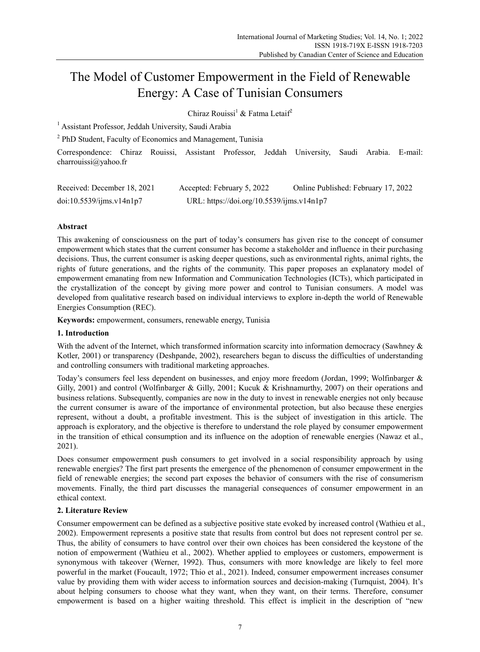# The Model of Customer Empowerment in the Field of Renewable Energy: A Case of Tunisian Consumers

Chiraz Rouissi<sup>1</sup> & Fatma Letaif<sup>2</sup>

<sup>1</sup> Assistant Professor, Jeddah University, Saudi Arabia

<sup>2</sup> PhD Student, Faculty of Economics and Management, Tunisia

Correspondence: Chiraz Rouissi, Assistant Professor, Jeddah University, Saudi Arabia. E-mail: charrouissi@yahoo.fr

| Received: December 18, 2021 | Accepted: February 5, 2022                | Online Published: February 17, 2022 |
|-----------------------------|-------------------------------------------|-------------------------------------|
| doi:10.5539/ijms.v14n1p7    | URL: https://doi.org/10.5539/ijms.v14n1p7 |                                     |

## **Abstract**

This awakening of consciousness on the part of today's consumers has given rise to the concept of consumer empowerment which states that the current consumer has become a stakeholder and influence in their purchasing decisions. Thus, the current consumer is asking deeper questions, such as environmental rights, animal rights, the rights of future generations, and the rights of the community. This paper proposes an explanatory model of empowerment emanating from new Information and Communication Technologies (ICTs), which participated in the crystallization of the concept by giving more power and control to Tunisian consumers. A model was developed from qualitative research based on individual interviews to explore in-depth the world of Renewable Energies Consumption (REC).

**Keywords:** empowerment, consumers, renewable energy, Tunisia

## **1. Introduction**

With the advent of the Internet, which transformed information scarcity into information democracy (Sawhney & Kotler, 2001) or transparency (Deshpande, 2002), researchers began to discuss the difficulties of understanding and controlling consumers with traditional marketing approaches.

Today's consumers feel less dependent on businesses, and enjoy more freedom (Jordan, 1999; Wolfinbarger & Gilly, 2001) and control (Wolfinbarger & Gilly, 2001; Kucuk & Krishnamurthy, 2007) on their operations and business relations. Subsequently, companies are now in the duty to invest in renewable energies not only because the current consumer is aware of the importance of environmental protection, but also because these energies represent, without a doubt, a profitable investment. This is the subject of investigation in this article. The approach is exploratory, and the objective is therefore to understand the role played by consumer empowerment in the transition of ethical consumption and its influence on the adoption of renewable energies (Nawaz et al., 2021).

Does consumer empowerment push consumers to get involved in a social responsibility approach by using renewable energies? The first part presents the emergence of the phenomenon of consumer empowerment in the field of renewable energies; the second part exposes the behavior of consumers with the rise of consumerism movements. Finally, the third part discusses the managerial consequences of consumer empowerment in an ethical context.

## **2. Literature Review**

Consumer empowerment can be defined as a subjective positive state evoked by increased control (Wathieu et al., 2002). Empowerment represents a positive state that results from control but does not represent control per se. Thus, the ability of consumers to have control over their own choices has been considered the keystone of the notion of empowerment (Wathieu et al., 2002). Whether applied to employees or customers, empowerment is synonymous with takeover (Werner, 1992). Thus, consumers with more knowledge are likely to feel more powerful in the market (Foucault, 1972; Thio et al., 2021). Indeed, consumer empowerment increases consumer value by providing them with wider access to information sources and decision-making (Turnquist, 2004). It's about helping consumers to choose what they want, when they want, on their terms. Therefore, consumer empowerment is based on a higher waiting threshold. This effect is implicit in the description of "new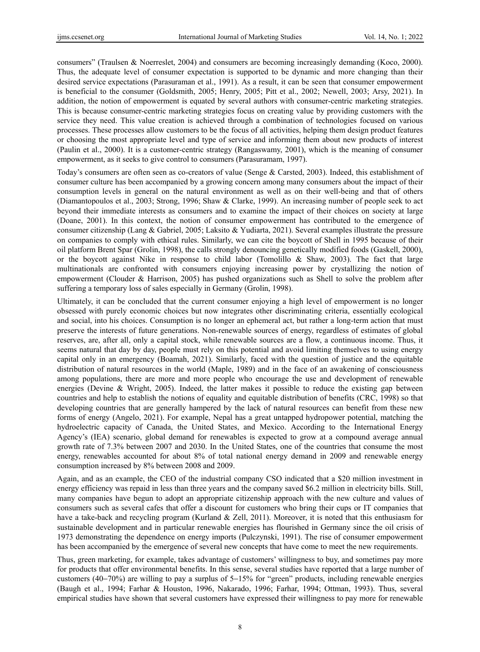consumers" (Traulsen & Noerreslet, 2004) and consumers are becoming increasingly demanding (Koco, 2000). Thus, the adequate level of consumer expectation is supported to be dynamic and more changing than their desired service expectations (Parasuraman et al., 1991). As a result, it can be seen that consumer empowerment is beneficial to the consumer (Goldsmith, 2005; Henry, 2005; Pitt et al., 2002; Newell, 2003; Arsy, 2021). In addition, the notion of empowerment is equated by several authors with consumer-centric marketing strategies. This is because consumer-centric marketing strategies focus on creating value by providing customers with the service they need. This value creation is achieved through a combination of technologies focused on various processes. These processes allow customers to be the focus of all activities, helping them design product features or choosing the most appropriate level and type of service and informing them about new products of interest (Paulin et al., 2000). It is a customer-centric strategy (Rangaswamy, 2001), which is the meaning of consumer empowerment, as it seeks to give control to consumers (Parasuramam, 1997).

Today's consumers are often seen as co-creators of value (Senge & Carsted, 2003). Indeed, this establishment of consumer culture has been accompanied by a growing concern among many consumers about the impact of their consumption levels in general on the natural environment as well as on their well-being and that of others (Diamantopoulos et al., 2003; Strong, 1996; Shaw & Clarke, 1999). An increasing number of people seek to act beyond their immediate interests as consumers and to examine the impact of their choices on society at large (Doane, 2001). In this context, the notion of consumer empowerment has contributed to the emergence of consumer citizenship (Lang & Gabriel, 2005; Laksito & Yudiarta, 2021). Several examples illustrate the pressure on companies to comply with ethical rules. Similarly, we can cite the boycott of Shell in 1995 because of their oil platform Brent Spar (Grolin, 1998), the calls strongly denouncing genetically modified foods (Gaskell, 2000), or the boycott against Nike in response to child labor (Tomolillo  $\&$  Shaw, 2003). The fact that large multinationals are confronted with consumers enjoying increasing power by crystallizing the notion of empowerment (Clouder & Harrison, 2005) has pushed organizations such as Shell to solve the problem after suffering a temporary loss of sales especially in Germany (Grolin, 1998).

Ultimately, it can be concluded that the current consumer enjoying a high level of empowerment is no longer obsessed with purely economic choices but now integrates other discriminating criteria, essentially ecological and social, into his choices. Consumption is no longer an ephemeral act, but rather a long-term action that must preserve the interests of future generations. Non-renewable sources of energy, regardless of estimates of global reserves, are, after all, only a capital stock, while renewable sources are a flow, a continuous income. Thus, it seems natural that day by day, people must rely on this potential and avoid limiting themselves to using energy capital only in an emergency (Boamah, 2021). Similarly, faced with the question of justice and the equitable distribution of natural resources in the world (Maple, 1989) and in the face of an awakening of consciousness among populations, there are more and more people who encourage the use and development of renewable energies (Devine & Wright, 2005). Indeed, the latter makes it possible to reduce the existing gap between countries and help to establish the notions of equality and equitable distribution of benefits (CRC, 1998) so that developing countries that are generally hampered by the lack of natural resources can benefit from these new forms of energy (Angelo, 2021). For example, Nepal has a great untapped hydropower potential, matching the hydroelectric capacity of Canada, the United States, and Mexico. According to the International Energy Agency's (IEA) scenario, global demand for renewables is expected to grow at a compound average annual growth rate of 7.3% between 2007 and 2030. In the United States, one of the countries that consume the most energy, renewables accounted for about 8% of total national energy demand in 2009 and renewable energy consumption increased by 8% between 2008 and 2009.

Again, and as an example, the CEO of the industrial company CSO indicated that a \$20 million investment in energy efficiency was repaid in less than three years and the company saved \$6.2 million in electricity bills. Still, many companies have begun to adopt an appropriate citizenship approach with the new culture and values of consumers such as several cafes that offer a discount for customers who bring their cups or IT companies that have a take-back and recycling program (Kurland & Zell, 2011). Moreover, it is noted that this enthusiasm for sustainable development and in particular renewable energies has flourished in Germany since the oil crisis of 1973 demonstrating the dependence on energy imports (Pulczynski, 1991). The rise of consumer empowerment has been accompanied by the emergence of several new concepts that have come to meet the new requirements.

Thus, green marketing, for example, takes advantage of customers' willingness to buy, and sometimes pay more for products that offer environmental benefits. In this sense, several studies have reported that a large number of customers (40−70%) are willing to pay a surplus of 5−15% for "green" products, including renewable energies (Baugh et al., 1994; Farhar & Houston, 1996, Nakarado, 1996; Farhar, 1994; Ottman, 1993). Thus, several empirical studies have shown that several customers have expressed their willingness to pay more for renewable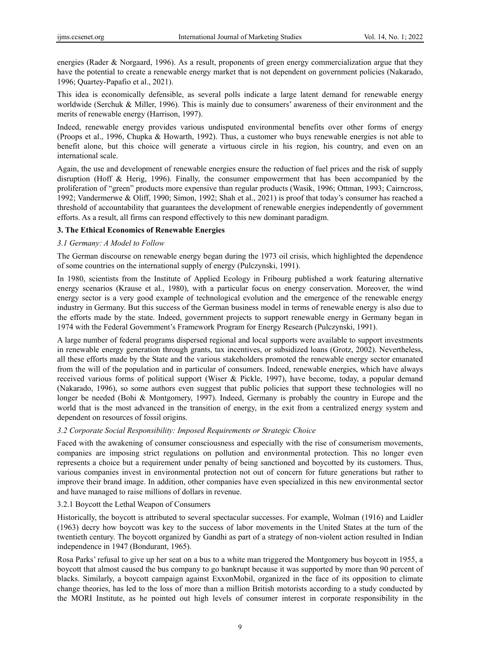energies (Rader & Norgaard, 1996). As a result, proponents of green energy commercialization argue that they have the potential to create a renewable energy market that is not dependent on government policies (Nakarado, 1996; Quartey-Papafio et al., 2021).

This idea is economically defensible, as several polls indicate a large latent demand for renewable energy worldwide (Serchuk & Miller, 1996). This is mainly due to consumers' awareness of their environment and the merits of renewable energy (Harrison, 1997).

Indeed, renewable energy provides various undisputed environmental benefits over other forms of energy (Proops et al., 1996, Chupka & Howarth, 1992). Thus, a customer who buys renewable energies is not able to benefit alone, but this choice will generate a virtuous circle in his region, his country, and even on an international scale.

Again, the use and development of renewable energies ensure the reduction of fuel prices and the risk of supply disruption (Hoff & Herig, 1996). Finally, the consumer empowerment that has been accompanied by the proliferation of "green" products more expensive than regular products (Wasik, 1996; Ottman, 1993; Cairncross, 1992; Vandermerwe & Oliff, 1990; Simon, 1992; Shah et al., 2021) is proof that today's consumer has reached a threshold of accountability that guarantees the development of renewable energies independently of government efforts. As a result, all firms can respond effectively to this new dominant paradigm.

## **3. The Ethical Economics of Renewable Energies**

## *3.1 Germany: A Model to Follow*

The German discourse on renewable energy began during the 1973 oil crisis, which highlighted the dependence of some countries on the international supply of energy (Pulczynski, 1991).

In 1980, scientists from the Institute of Applied Ecology in Fribourg published a work featuring alternative energy scenarios (Krause et al., 1980), with a particular focus on energy conservation. Moreover, the wind energy sector is a very good example of technological evolution and the emergence of the renewable energy industry in Germany. But this success of the German business model in terms of renewable energy is also due to the efforts made by the state. Indeed, government projects to support renewable energy in Germany began in 1974 with the Federal Government's Framework Program for Energy Research (Pulczynski, 1991).

A large number of federal programs dispersed regional and local supports were available to support investments in renewable energy generation through grants, tax incentives, or subsidized loans (Grotz, 2002). Nevertheless, all these efforts made by the State and the various stakeholders promoted the renewable energy sector emanated from the will of the population and in particular of consumers. Indeed, renewable energies, which have always received various forms of political support (Wiser & Pickle, 1997), have become, today, a popular demand (Nakarado, 1996), so some authors even suggest that public policies that support these technologies will no longer be needed (Bohi & Montgomery, 1997). Indeed, Germany is probably the country in Europe and the world that is the most advanced in the transition of energy, in the exit from a centralized energy system and dependent on resources of fossil origins.

## *3.2 Corporate Social Responsibility: Imposed Requirements or Strategic Choice*

Faced with the awakening of consumer consciousness and especially with the rise of consumerism movements, companies are imposing strict regulations on pollution and environmental protection. This no longer even represents a choice but a requirement under penalty of being sanctioned and boycotted by its customers. Thus, various companies invest in environmental protection not out of concern for future generations but rather to improve their brand image. In addition, other companies have even specialized in this new environmental sector and have managed to raise millions of dollars in revenue.

## 3.2.1 Boycott the Lethal Weapon of Consumers

Historically, the boycott is attributed to several spectacular successes. For example, Wolman (1916) and Laidler (1963) decry how boycott was key to the success of labor movements in the United States at the turn of the twentieth century. The boycott organized by Gandhi as part of a strategy of non-violent action resulted in Indian independence in 1947 (Bondurant, 1965).

Rosa Parks' refusal to give up her seat on a bus to a white man triggered the Montgomery bus boycott in 1955, a boycott that almost caused the bus company to go bankrupt because it was supported by more than 90 percent of blacks. Similarly, a boycott campaign against ExxonMobil, organized in the face of its opposition to climate change theories, has led to the loss of more than a million British motorists according to a study conducted by the MORI Institute, as he pointed out high levels of consumer interest in corporate responsibility in the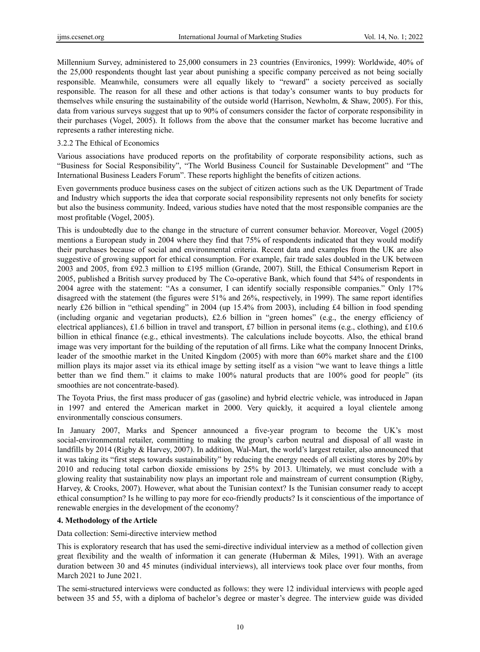Millennium Survey, administered to 25,000 consumers in 23 countries (Environics, 1999): Worldwide, 40% of the 25,000 respondents thought last year about punishing a specific company perceived as not being socially responsible. Meanwhile, consumers were all equally likely to "reward" a society perceived as socially responsible. The reason for all these and other actions is that today's consumer wants to buy products for themselves while ensuring the sustainability of the outside world (Harrison, Newholm, & Shaw, 2005). For this, data from various surveys suggest that up to 90% of consumers consider the factor of corporate responsibility in their purchases (Vogel, 2005). It follows from the above that the consumer market has become lucrative and represents a rather interesting niche.

### 3.2.2 The Ethical of Economics

Various associations have produced reports on the profitability of corporate responsibility actions, such as "Business for Social Responsibility", "The World Business Council for Sustainable Development" and "The International Business Leaders Forum". These reports highlight the benefits of citizen actions.

Even governments produce business cases on the subject of citizen actions such as the UK Department of Trade and Industry which supports the idea that corporate social responsibility represents not only benefits for society but also the business community. Indeed, various studies have noted that the most responsible companies are the most profitable (Vogel, 2005).

This is undoubtedly due to the change in the structure of current consumer behavior. Moreover, Vogel (2005) mentions a European study in 2004 where they find that 75% of respondents indicated that they would modify their purchases because of social and environmental criteria. Recent data and examples from the UK are also suggestive of growing support for ethical consumption. For example, fair trade sales doubled in the UK between 2003 and 2005, from £92.3 million to £195 million (Grande, 2007). Still, the Ethical Consumerism Report in 2005, published a British survey produced by The Co-operative Bank, which found that 54% of respondents in 2004 agree with the statement: "As a consumer, I can identify socially responsible companies." Only 17% disagreed with the statement (the figures were 51% and 26%, respectively, in 1999). The same report identifies nearly £26 billion in "ethical spending" in 2004 (up 15.4% from 2003), including £4 billion in food spending (including organic and vegetarian products), £2.6 billion in "green homes" (e.g., the energy efficiency of electrical appliances), £1.6 billion in travel and transport, £7 billion in personal items (e.g., clothing), and £10.6 billion in ethical finance (e.g., ethical investments). The calculations include boycotts. Also, the ethical brand image was very important for the building of the reputation of all firms. Like what the company Innocent Drinks, leader of the smoothie market in the United Kingdom (2005) with more than 60% market share and the £100 million plays its major asset via its ethical image by setting itself as a vision "we want to leave things a little better than we find them." it claims to make 100% natural products that are 100% good for people" (its smoothies are not concentrate-based).

The Toyota Prius, the first mass producer of gas (gasoline) and hybrid electric vehicle, was introduced in Japan in 1997 and entered the American market in 2000. Very quickly, it acquired a loyal clientele among environmentally conscious consumers.

In January 2007, Marks and Spencer announced a five-year program to become the UK's most social-environmental retailer, committing to making the group's carbon neutral and disposal of all waste in landfills by 2014 (Rigby & Harvey, 2007). In addition, Wal-Mart, the world's largest retailer, also announced that it was taking its "first steps towards sustainability" by reducing the energy needs of all existing stores by 20% by 2010 and reducing total carbon dioxide emissions by 25% by 2013. Ultimately, we must conclude with a glowing reality that sustainability now plays an important role and mainstream of current consumption (Rigby, Harvey, & Crooks, 2007). However, what about the Tunisian context? Is the Tunisian consumer ready to accept ethical consumption? Is he willing to pay more for eco-friendly products? Is it conscientious of the importance of renewable energies in the development of the economy?

## **4. Methodology of the Article**

Data collection: Semi-directive interview method

This is exploratory research that has used the semi-directive individual interview as a method of collection given great flexibility and the wealth of information it can generate (Huberman  $\&$  Miles, 1991). With an average duration between 30 and 45 minutes (individual interviews), all interviews took place over four months, from March 2021 to June 2021.

The semi-structured interviews were conducted as follows: they were 12 individual interviews with people aged between 35 and 55, with a diploma of bachelor's degree or master's degree. The interview guide was divided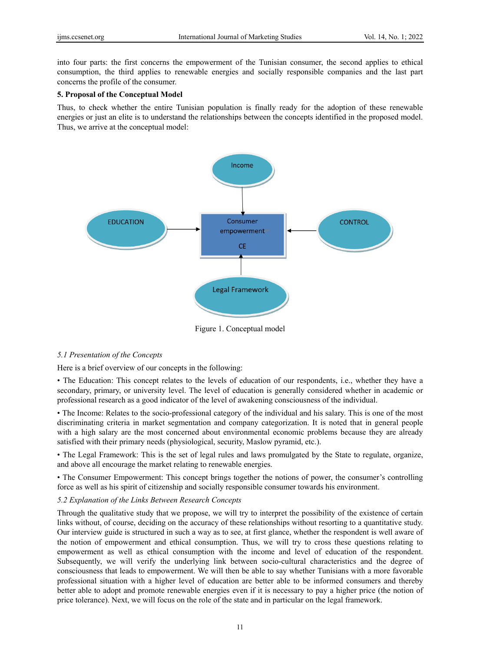into four parts: the first concerns the empowerment of the Tunisian consumer, the second applies to ethical consumption, the third applies to renewable energies and socially responsible companies and the last part concerns the profile of the consumer.

#### **5. Proposal of the Conceptual Model**

Thus, to check whether the entire Tunisian population is finally ready for the adoption of these renewable energies or just an elite is to understand the relationships between the concepts identified in the proposed model. Thus, we arrive at the conceptual model:



Figure 1. Conceptual model

## *5.1 Presentation of the Concepts*

Here is a brief overview of our concepts in the following:

• The Education: This concept relates to the levels of education of our respondents, i.e., whether they have a secondary, primary, or university level. The level of education is generally considered whether in academic or professional research as a good indicator of the level of awakening consciousness of the individual.

• The Income: Relates to the socio-professional category of the individual and his salary. This is one of the most discriminating criteria in market segmentation and company categorization. It is noted that in general people with a high salary are the most concerned about environmental economic problems because they are already satisfied with their primary needs (physiological, security, Maslow pyramid, etc.).

• The Legal Framework: This is the set of legal rules and laws promulgated by the State to regulate, organize, and above all encourage the market relating to renewable energies.

• The Consumer Empowerment: This concept brings together the notions of power, the consumer's controlling force as well as his spirit of citizenship and socially responsible consumer towards his environment.

#### *5.2 Explanation of the Links Between Research Concepts*

Through the qualitative study that we propose, we will try to interpret the possibility of the existence of certain links without, of course, deciding on the accuracy of these relationships without resorting to a quantitative study. Our interview guide is structured in such a way as to see, at first glance, whether the respondent is well aware of the notion of empowerment and ethical consumption. Thus, we will try to cross these questions relating to empowerment as well as ethical consumption with the income and level of education of the respondent. Subsequently, we will verify the underlying link between socio-cultural characteristics and the degree of consciousness that leads to empowerment. We will then be able to say whether Tunisians with a more favorable professional situation with a higher level of education are better able to be informed consumers and thereby better able to adopt and promote renewable energies even if it is necessary to pay a higher price (the notion of price tolerance). Next, we will focus on the role of the state and in particular on the legal framework.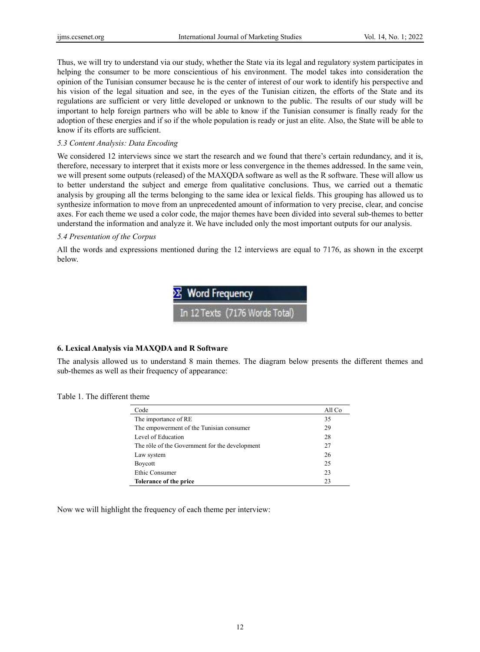Thus, we will try to understand via our study, whether the State via its legal and regulatory system participates in helping the consumer to be more conscientious of his environment. The model takes into consideration the opinion of the Tunisian consumer because he is the center of interest of our work to identify his perspective and his vision of the legal situation and see, in the eyes of the Tunisian citizen, the efforts of the State and its regulations are sufficient or very little developed or unknown to the public. The results of our study will be important to help foreign partners who will be able to know if the Tunisian consumer is finally ready for the adoption of these energies and if so if the whole population is ready or just an elite. Also, the State will be able to know if its efforts are sufficient.

## *5.3 Content Analysis: Data Encoding*

We considered 12 interviews since we start the research and we found that there's certain redundancy, and it is, therefore, necessary to interpret that it exists more or less convergence in the themes addressed. In the same vein, we will present some outputs (released) of the MAXQDA software as well as the R software. These will allow us to better understand the subject and emerge from qualitative conclusions. Thus, we carried out a thematic analysis by grouping all the terms belonging to the same idea or lexical fields. This grouping has allowed us to synthesize information to move from an unprecedented amount of information to very precise, clear, and concise axes. For each theme we used a color code, the major themes have been divided into several sub-themes to better understand the information and analyze it. We have included only the most important outputs for our analysis.

#### *5.4 Presentation of the Corpus*

All the words and expressions mentioned during the 12 interviews are equal to 7176, as shown in the excerpt below.



## **6. Lexical Analysis via MAXQDA and R Software**

The analysis allowed us to understand 8 main themes. The diagram below presents the different themes and sub-themes as well as their frequency of appearance:

## Table 1. The different theme

| Code                                           | All Co |
|------------------------------------------------|--------|
| The importance of RE                           | 35     |
| The empowerment of the Tunisian consumer       | 29     |
| Level of Education                             | 28     |
| The rôle of the Government for the development | 27     |
| Law system                                     | 26     |
| Boycott                                        | 25     |
| Ethic Consumer                                 | 23     |
| Tolerance of the price                         | 23     |

Now we will highlight the frequency of each theme per interview: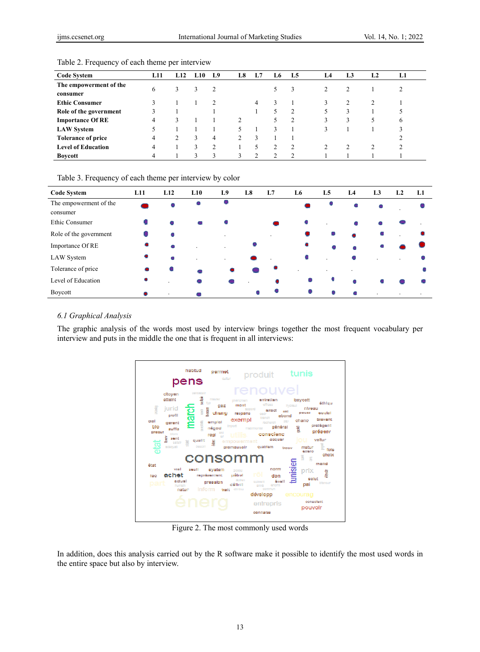| <b>Code System</b>        | L11 | L12 | L10 | L9 | L8 | L7 | L6 | L5             | L4 | L3 | L <sub>2</sub> | L1 |
|---------------------------|-----|-----|-----|----|----|----|----|----------------|----|----|----------------|----|
| The empowerment of the    | 6   | 3   | 3   | 2  |    |    |    | 3              |    |    |                |    |
| consumer                  |     |     |     |    |    |    |    |                |    |    |                |    |
| <b>Ethic Consumer</b>     |     |     |     | 2  |    | 4  |    |                |    |    |                |    |
| Role of the government    |     |     |     |    |    |    |    | 2              |    |    |                |    |
| <b>Importance Of RE</b>   | 4   | ζ   |     |    |    |    |    | $\overline{c}$ |    |    | ৲              | b  |
| <b>LAW System</b>         |     |     |     |    |    |    |    |                |    |    |                |    |
| <b>Tolerance of price</b> | 4   |     | 3   | 4  |    | 3  |    |                |    |    |                |    |
| <b>Level of Education</b> | 4   |     |     | C  |    | 5  |    | 2              |    |    | C              |    |
| <b>Boycott</b>            | 4   |     | 3   | 3  |    | ↑  |    | $\overline{c}$ |    |    |                |    |

Table 2. Frequency of each theme per interview

| Table 3. Frequency of each theme per interview by color |  |  |  |
|---------------------------------------------------------|--|--|--|
|                                                         |  |  |  |

| <b>Code System</b>                 | L11 | L12     | L10 | L9             | L8 | L7 | L6 | L <sub>5</sub> | L4 | L <sub>3</sub> | L2      | L1                       |
|------------------------------------|-----|---------|-----|----------------|----|----|----|----------------|----|----------------|---------|--------------------------|
| The empowerment of the<br>consumer |     |         |     |                |    |    |    |                | ۰  |                |         |                          |
| Ethic Consumer                     |     |         |     |                |    |    |    |                |    |                |         |                          |
| Role of the government             |     |         |     |                |    |    | ۰  | ۰              |    |                |         |                          |
| Importance Of RE                   | ۰   |         |     | $\cdot$        |    |    | ۰  |                |    |                |         |                          |
| LAW System                         | ۰   | ۸       |     | $\blacksquare$ |    |    |    |                |    |                |         |                          |
| Tolerance of price                 | ۰   |         |     |                |    |    |    |                |    |                |         |                          |
| Level of Education                 |     |         |     |                |    | ۰  |    | ٠              |    |                |         |                          |
| Boycott                            |     | $\cdot$ |     |                | ۰  |    |    |                |    | $\cdot$        | $\cdot$ | $\overline{\phantom{a}}$ |

## *6.1 Graphical Analysis*

The graphic analysis of the words most used by interview brings together the most frequent vocabulary per interview and puts in the middle the one that is frequent in all interviews:



Figure 2. The most commonly used words

In addition, does this analysis carried out by the R software make it possible to identify the most used words in the entire space but also by interview.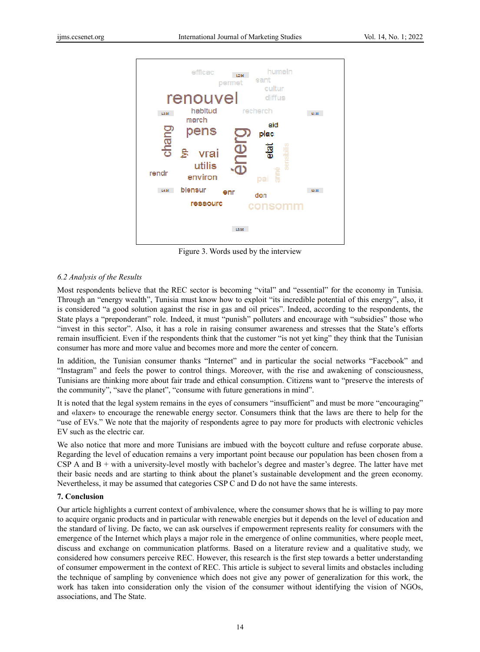

Figure 3. Words used by the interview

## *6.2 Analysis of the Results*

Most respondents believe that the REC sector is becoming "vital" and "essential" for the economy in Tunisia. Through an "energy wealth", Tunisia must know how to exploit "its incredible potential of this energy", also, it is considered "a good solution against the rise in gas and oil prices". Indeed, according to the respondents, the State plays a "preponderant" role. Indeed, it must "punish" polluters and encourage with "subsidies" those who "invest in this sector". Also, it has a role in raising consumer awareness and stresses that the State's efforts remain insufficient. Even if the respondents think that the customer "is not yet king" they think that the Tunisian consumer has more and more value and becomes more and more the center of concern.

In addition, the Tunisian consumer thanks "Internet" and in particular the social networks "Facebook" and "Instagram" and feels the power to control things. Moreover, with the rise and awakening of consciousness, Tunisians are thinking more about fair trade and ethical consumption. Citizens want to "preserve the interests of the community", "save the planet", "consume with future generations in mind".

It is noted that the legal system remains in the eyes of consumers "insufficient" and must be more "encouraging" and «laxer» to encourage the renewable energy sector. Consumers think that the laws are there to help for the "use of EVs." We note that the majority of respondents agree to pay more for products with electronic vehicles EV such as the electric car.

We also notice that more and more Tunisians are imbued with the boycott culture and refuse corporate abuse. Regarding the level of education remains a very important point because our population has been chosen from a CSP A and B + with a university-level mostly with bachelor's degree and master's degree. The latter have met their basic needs and are starting to think about the planet's sustainable development and the green economy. Nevertheless, it may be assumed that categories CSP C and D do not have the same interests.

## **7. Conclusion**

Our article highlights a current context of ambivalence, where the consumer shows that he is willing to pay more to acquire organic products and in particular with renewable energies but it depends on the level of education and the standard of living. De facto, we can ask ourselves if empowerment represents reality for consumers with the emergence of the Internet which plays a major role in the emergence of online communities, where people meet, discuss and exchange on communication platforms. Based on a literature review and a qualitative study, we considered how consumers perceive REC. However, this research is the first step towards a better understanding of consumer empowerment in the context of REC. This article is subject to several limits and obstacles including the technique of sampling by convenience which does not give any power of generalization for this work, the work has taken into consideration only the vision of the consumer without identifying the vision of NGOs, associations, and The State.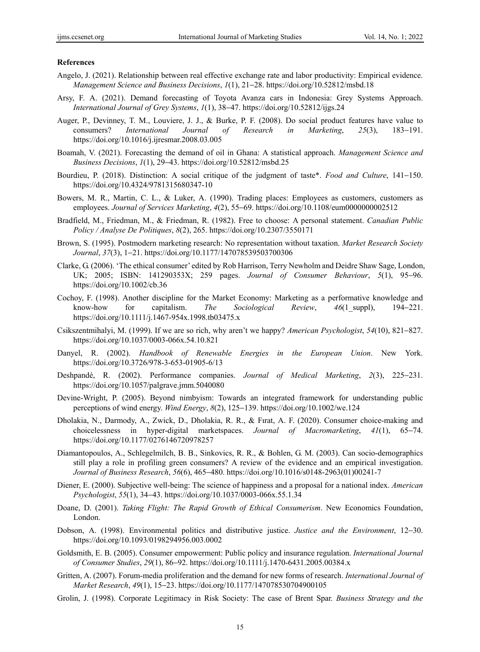#### **References**

- Angelo, J. (2021). Relationship between real effective exchange rate and labor productivity: Empirical evidence. *Management Science and Business Decisions*, *1*(1), 21−28. https://doi.org/10.52812/msbd.18
- Arsy, F. A. (2021). Demand forecasting of Toyota Avanza cars in Indonesia: Grey Systems Approach. *International Journal of Grey Systems*, *1*(1), 38−47. https://doi.org/10.52812/ijgs.24
- Auger, P., Devinney, T. M., Louviere, J. J., & Burke, P. F. (2008). Do social product features have value to consumers? *International Journal of Research in Marketing*, *25*(3), 183−191. https://doi.org/10.1016/j.ijresmar.2008.03.005
- Boamah, V. (2021). Forecasting the demand of oil in Ghana: A statistical approach. *Management Science and Business Decisions*, *1*(1), 29−43. https://doi.org/10.52812/msbd.25
- Bourdieu, P. (2018). Distinction: A social critique of the judgment of taste\*. *Food and Culture*, 141−150. https://doi.org/10.4324/9781315680347-10
- Bowers, M. R., Martin, C. L., & Luker, A. (1990). Trading places: Employees as customers, customers as employees. *Journal of Services Marketing*, *4*(2), 55−69. https://doi.org/10.1108/eum0000000002512
- Bradfield, M., Friedman, M., & Friedman, R. (1982). Free to choose: A personal statement. *Canadian Public Policy / Analyse De Politiques*, *8*(2), 265. https://doi.org/10.2307/3550171
- Brown, S. (1995). Postmodern marketing research: No representation without taxation. *Market Research Society Journal*, *37*(3), 1−21. https://doi.org/10.1177/147078539503700306
- Clarke, G. (2006). 'The ethical consumer' edited by Rob Harrison, Terry Newholm and Deidre Shaw Sage, London, UK; 2005; ISBN: 141290353X; 259 pages. *Journal of Consumer Behaviour*, *5*(1), 95−96. https://doi.org/10.1002/cb.36
- Cochoy, F. (1998). Another discipline for the Market Economy: Marketing as a performative knowledge and know-how for capitalism. *The Sociological Review*, *46*(1\_suppl), 194−221. https://doi.org/10.1111/j.1467-954x.1998.tb03475.x
- Csikszentmihalyi, M. (1999). If we are so rich, why aren't we happy? *American Psychologist*, *54*(10), 821−827. https://doi.org/10.1037/0003-066x.54.10.821
- Danyel, R. (2002). *Handbook of Renewable Energies in the European Union*. New York. https://doi.org/10.3726/978-3-653-01905-6/13
- Deshpandé, R. (2002). Performance companies. *Journal of Medical Marketing*, *2*(3), 225−231. https://doi.org/10.1057/palgrave.jmm.5040080
- Devine-Wright, P. (2005). Beyond nimbyism: Towards an integrated framework for understanding public perceptions of wind energy. *Wind Energy*, *8*(2), 125−139. https://doi.org/10.1002/we.124
- Dholakia, N., Darmody, A., Zwick, D., Dholakia, R. R., & Fırat, A. F. (2020). Consumer choice-making and choicelessness in hyper-digital marketspaces. *Journal of Macromarketing*, *41*(1), 65−74. https://doi.org/10.1177/0276146720978257
- Diamantopoulos, A., Schlegelmilch, B. B., Sinkovics, R. R., & Bohlen, G. M. (2003). Can socio-demographics still play a role in profiling green consumers? A review of the evidence and an empirical investigation. *Journal of Business Research*, *56*(6), 465−480. https://doi.org/10.1016/s0148-2963(01)00241-7
- Diener, E. (2000). Subjective well-being: The science of happiness and a proposal for a national index. *American Psychologist*, *55*(1), 34−43. https://doi.org/10.1037/0003-066x.55.1.34
- Doane, D. (2001). *Taking Flight: The Rapid Growth of Ethical Consumerism*. New Economics Foundation, London.
- Dobson, A. (1998). Environmental politics and distributive justice. *Justice and the Environment*, 12−30. https://doi.org/10.1093/0198294956.003.0002
- Goldsmith, E. B. (2005). Consumer empowerment: Public policy and insurance regulation. *International Journal of Consumer Studies*, *29*(1), 86−92. https://doi.org/10.1111/j.1470-6431.2005.00384.x
- Gritten, A. (2007). Forum-media proliferation and the demand for new forms of research. *International Journal of Market Research*, *49*(1), 15−23. https://doi.org/10.1177/147078530704900105
- Grolin, J. (1998). Corporate Legitimacy in Risk Society: The case of Brent Spar. *Business Strategy and the*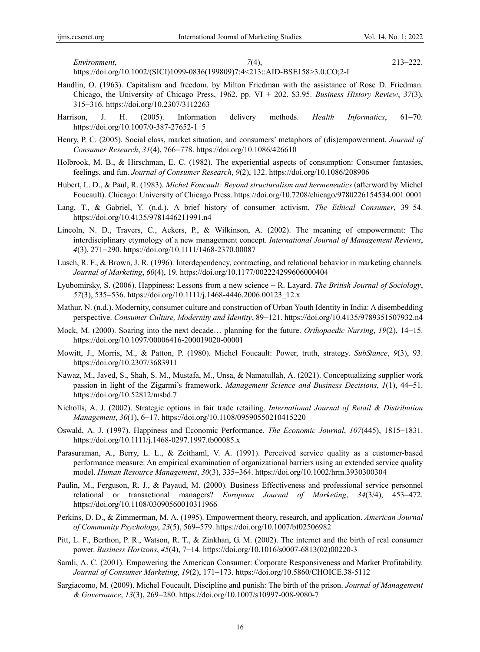*Environment*, *7*(4), 213−222.

https://doi.org/10.1002/(SICI)1099-0836(199809)7:4<213::AID-BSE158>3.0.CO;2-I

- Handlin, O. (1963). Capitalism and freedom. by Milton Friedman with the assistance of Rose D. Friedman. Chicago, the University of Chicago Press, 1962. pp. VI + 202. \$3.95. *Business History Review*, *37*(3), 315−316. https://doi.org/10.2307/3112263
- Harrison, J. H. (2005). Information delivery methods. *Health Informatics*, 61−70. https://doi.org/10.1007/0-387-27652-1\_5
- Henry, P. C. (2005). Social class, market situation, and consumers' metaphors of (dis)empowerment. *Journal of Consumer Research*, *31*(4), 766−778. https://doi.org/10.1086/426610
- Holbrook, M. B., & Hirschman, E. C. (1982). The experiential aspects of consumption: Consumer fantasies, feelings, and fun. *Journal of Consumer Research*, *9*(2), 132. https://doi.org/10.1086/208906
- Hubert, L. D., & Paul, R. (1983). *Michel Foucault: Beyond structuralism and hermeneutics* (afterword by Michel Foucault). Chicago: University of Chicago Press. https://doi.org/10.7208/chicago/9780226154534.001.0001
- Lang, T., & Gabriel, Y. (n.d.). A brief history of consumer activism. *The Ethical Consumer*, 39–54. https://doi.org/10.4135/9781446211991.n4
- Lincoln, N. D., Travers, C., Ackers, P., & Wilkinson, A. (2002). The meaning of empowerment: The interdisciplinary etymology of a new management concept. *International Journal of Management Reviews*, *4*(3), 271−290. https://doi.org/10.1111/1468-2370.00087
- Lusch, R. F., & Brown, J. R. (1996). Interdependency, contracting, and relational behavior in marketing channels. *Journal of Marketing*, *60*(4), 19. https://doi.org/10.1177/002224299606000404
- Lyubomirsky, S. (2006). Happiness: Lessons from a new science − R. Layard. *The British Journal of Sociology*, *57*(3), 535−536. https://doi.org/10.1111/j.1468-4446.2006.00123\_12.x
- Mathur, N. (n.d.). Modernity, consumer culture and construction of Urban Youth Identity in India: A disembedding perspective. *Consumer Culture, Modernity and Identity*, 89−121. https://doi.org/10.4135/9789351507932.n4
- Mock, M. (2000). Soaring into the next decade… planning for the future. *Orthopaedic Nursing*, *19*(2), 14−15. https://doi.org/10.1097/00006416-200019020-00001
- Mowitt, J., Morris, M., & Patton, P. (1980). Michel Foucault: Power, truth, strategy. *SubStance*, *9*(3), 93. https://doi.org/10.2307/3683911
- Nawaz, M., Javed, S., Shah, S. M., Mustafa, M., Unsa, & Namatullah, A. (2021). Conceptualizing supplier work passion in light of the Zigarmi's framework. *Management Science and Business Decisions*, *1*(1), 44−51. https://doi.org/10.52812/msbd.7
- Nicholls, A. J. (2002). Strategic options in fair trade retailing. *International Journal of Retail & Distribution Management*, *30*(1), 6−17. https://doi.org/10.1108/09590550210415220
- Oswald, A. J. (1997). Happiness and Economic Performance. *The Economic Journal*, *107*(445), 1815−1831. https://doi.org/10.1111/j.1468-0297.1997.tb00085.x
- Parasuraman, A., Berry, L. L., & Zeithaml, V. A. (1991). Perceived service quality as a customer-based performance measure: An empirical examination of organizational barriers using an extended service quality model. *Human Resource Management*, *30*(3), 335−364. https://doi.org/10.1002/hrm.3930300304
- Paulin, M., Ferguson, R. J., & Payaud, M. (2000). Business Effectiveness and professional service personnel relational or transactional managers? *European Journal of Marketing*, *34*(3/4), 453−472. https://doi.org/10.1108/03090560010311966
- Perkins, D. D., & Zimmerman, M. A. (1995). Empowerment theory, research, and application. *American Journal of Community Psychology*, *23*(5), 569−579. https://doi.org/10.1007/bf02506982
- Pitt, L. F., Berthon, P. R., Watson, R. T., & Zinkhan, G. M. (2002). The internet and the birth of real consumer power. *Business Horizons*, *45*(4), 7−14. https://doi.org/10.1016/s0007-6813(02)00220-3
- Samli, A. C. (2001). Empowering the American Consumer: Corporate Responsiveness and Market Profitability. *Journal of Consumer Marketing*, *19*(2), 171−173. https://doi.org/10.5860/CHOICE.38-5112
- Sargiacomo, M. (2009). Michel Foucault, Discipline and punish: The birth of the prison. *Journal of Management & Governance*, *13*(3), 269−280. https://doi.org/10.1007/s10997-008-9080-7